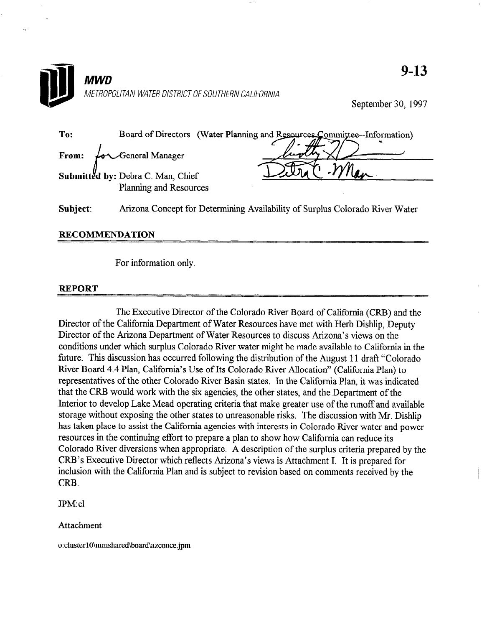

September 30, 1997

| To:   | Board of Directors (Water Planning and Resources Committee-Information)                                                                                                                                                                                |  |
|-------|--------------------------------------------------------------------------------------------------------------------------------------------------------------------------------------------------------------------------------------------------------|--|
| From: | $\overbrace{\phantom{\quad{\mathrm{h}}}^{\mathrm{1}}}$ $\overbrace{\phantom{\mathrm{h}}}^{\mathrm{1}}$ $\overbrace{\phantom{\mathrm{h}}}^{\mathrm{1}}$ $\overbrace{\phantom{\mathrm{h}}}^{\mathrm{1}}$ $\overbrace{\phantom{\mathrm{h}}}^{\mathrm{1}}$ |  |
|       | Submitted by: Debra C. Man, Chief                                                                                                                                                                                                                      |  |
|       | Planning and Resources                                                                                                                                                                                                                                 |  |

Subject: Arizona Concept for Determining Availability of Surplus Colorado River Water

## RECOMMENDATION

For information only.

## REPORT

The Executive Director of the Colorado River Board of California (CRB) and the  $D_{\text{tot}}$  of the California Director of the Colorado River Board of California (CRD) and the  $D_{\text{tot}}$ Director of the Cambridge Department of Water Resources have nict with Hero Dishipp, De Director of the Arizona Department of Water Resources to discuss Arizona's views on the conditions under which surplus Colorado River water might be made available to California in the future. This discussion has occurred following the distribution of the August 11 draft "Colorado River Board 4.4 Plan, California's Use of Its Colorado River Allocation" (California Plan) to representatives of the other Colorado River Basin states. In the California Plan, it was indicated that the CRB would work with the six agencies, the other states, and the Department of the Interior to develop Lake Mead operating criteria that make greater use of the runoff and available storage without exposing the other states to unreasonable risks. The discussion with Mr. Dishlip has taken place to assist the California agencies with interests in Colorado River water and power resources in the continuing effort to prepare a plan to show how California can reduce its Colorado River diversions when appropriate. A description of the surplus criteria prepared by the CRB's Executive Director which reflects Arizona's views is Attachment I. It is prepared for inclusion with the California Plan and is subject to revision based on comments received by the CRB.

**JPM:cl** 

Attachment

o:cluster10\mmshared\board\azconce.jpm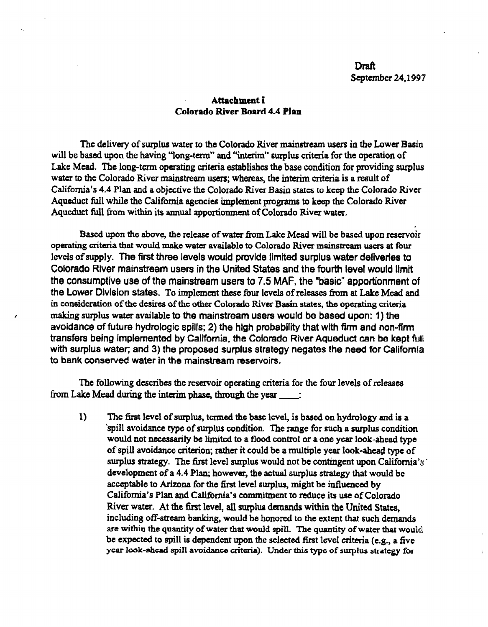## Attachment I Colorado River Board 4.4 Plan

The delivery of surplus water to the Colorado River mainstream users in the Lower Basin will be based upon the having "long-term" and "interim" surplus criteria for the operation of Lake Mead. The long-term operating criteria establishes the base condition for providing surplus water to the Colorado River mainstream users; whereas, the interim criteria is a result of California's 4.4 Plan and a objective the Colorado River Basin states to keep the Colorado River Aqueduct full while the California agencies implement programs to keep the Colorado River Aqueduct full from within its annual apportionment of Colorado River water.

Based upon the above, the release of water from Lake Mead will be based upon reservoir operating criteria that would make water available to Colorado River mainstream users at four levels of supply. The first three levels would provide limited surplus water deliverfes to Colorado River mainstream users in the United States and the fourth level would limit the consumptive use of the mainstream users to 7.5 MAF, the "basic" apportionment of the Lower Division states. To implement these four levels of releases from at Lake Mead and in consideration of the desires of the other Colorado River Basin states, the operating criteria making surplus water available to the mainstream users would be based upon: 1) the avoidance of future hydrologic spills; 2) the high probability that with firm and non-firm transfers being implemented by California, the Colorado River Aqueduct can be kept full with surplus water; and 3) the proposed surplus strategy negates the need for California to bank conserved water in the mainstream reservoirs.

The following describes the reservoir operating criteria for the four levels of releases from Lake Mead during the interim phase, through the year \_\_\_\_:

1) The firat level of surplus, termed the base level, is based on hydrology and is a 'spiI1 avoidance type of surplus condition. The range for such a surplus condition would not necessarily be limited to a flood control or a one year look-ahead type of spill avoidance criterion; rather it could be a multiple year look-ahead type of surplus strategy. The first level surplus would not be contingent upon California's. development of a 4.4 Plan: however, the actual surplus strategy that would be acceptable to Arizona for the first level surplus, might be influenced by California's Plan and California's commitment to reduce its use of Colorado River water. At the first level, all surplus demands within the United States, including off-stream banking, would be honored to the extent that such demands are within the quantity of water that would spill. The quantity of water that would be expected to spill is dependent upon the selected first level criteria (e.g., a five year look-ahead spill avoidance criteria). Under this type of surplus strategy for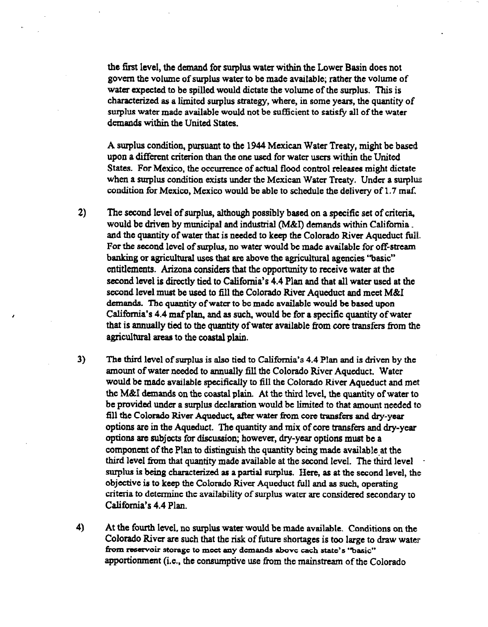the first level, the demand for surplus water within the Lower Basin does not govern the volume of surplus water to be made available; rather the volume of water expected to be spilled would dictate the volume of the surplus. This is characterized as a limited surplus strategy, where, in some years, the quantity of surplus water made available would not be sufficient to satisfy all of the water demands within the United States.

A surplus condition, pursuant to the 1944 Mexican Water Treaty, might be based upon a different criterion than the one used for water users within the United States. For Mexico, the occurrence of actual flood control releases might dictate when a surplus condition exists under the Mexican Water Treaty. Under a surplus condition for Mexico, Mexico would be able to schedule the delivery of 1.7 maf.

- 2) The second level of surplus, although possibly based on a specific set of criteria, would be driven by municipal and industrial (M&I) demands within California. and the quantity of water that is needed to keep the Colorado River Aqueduct till. For the second level of surplus, no water would be made available for off-stream banking or agricultural uses that are above the agricultural agencies "basic" entitlements. Arizona considers that the opportunity to receive water at the second level is directly tied to California's 4.4 Plan and that all water used at the second level must be used to fill the Colorado River Aqueduct and meet M&I demands. The quantity of water to be made available would be based upon California's 4.4 maf plan, and as such, would be for a specific quantity of water that is annually tied to the quantity of water available from core transfers from the agricultural areas to the coastal plain.
- 3) The third level of surplus is also tied to California's 4.4 Plan and is driven by the amount of water needed to annually fill the Colorado River Aqueduct. Water would be made available specifically to fill the Colorado River Aqueduct and met the M&I demands on the coastal plain. At the third level, the quantity of water to be provided under a surplus declaration would be limited to that amount needed to fill the Colorado River Aqueduct, after water from core transfers and dry-year options are in the Aqueduct. The quantity and mix of core transfers and dry-year options are subjects for discussion; however, dry-year options must be a component of the Plan to distinguish the quantity being made available at the third level from that quantity made available at the second level. The third level surplus is being characterized as a partial surplus. Here, as at the second level, the objective is to keep the Colorado River Aqueduct full and as such, operating criteria to determine the availability of surplus water are considered secondary to California's 4.4 Plan.
- 4) At the fourth level, no surplus water would be made available. Conditions on the Colorado River are such that the risk of future shortages is too large to draw water from reservoir storage to meet any demands above each state's "basic" apportionment (i.e., the consumptive use from the mainstream of the Colorado